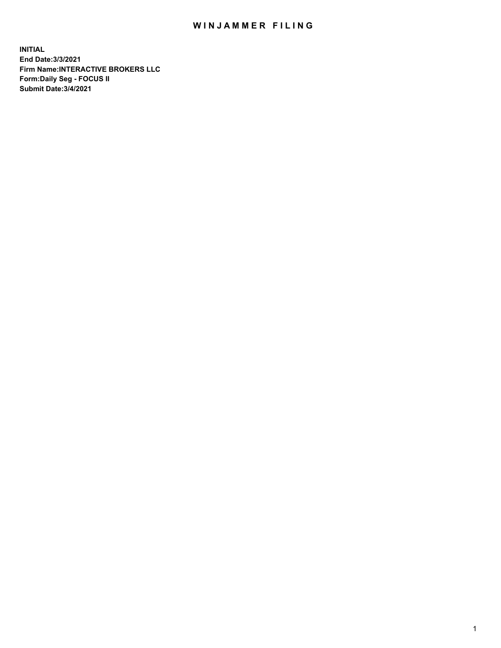## WIN JAMMER FILING

**INITIAL End Date:3/3/2021 Firm Name:INTERACTIVE BROKERS LLC Form:Daily Seg - FOCUS II Submit Date:3/4/2021**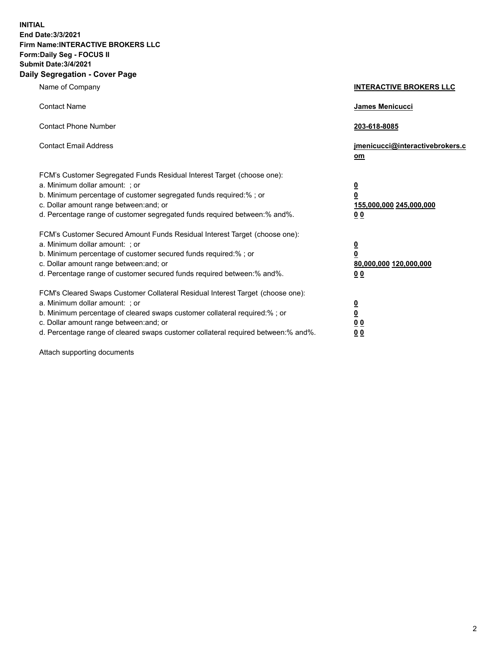**INITIAL End Date:3/3/2021 Firm Name:INTERACTIVE BROKERS LLC Form:Daily Seg - FOCUS II Submit Date:3/4/2021 Daily Segregation - Cover Page**

| Name of Company                                                                                                                                                                                                                                                                                                                | <b>INTERACTIVE BROKERS LLC</b>                                                                  |
|--------------------------------------------------------------------------------------------------------------------------------------------------------------------------------------------------------------------------------------------------------------------------------------------------------------------------------|-------------------------------------------------------------------------------------------------|
| <b>Contact Name</b>                                                                                                                                                                                                                                                                                                            | James Menicucci                                                                                 |
| <b>Contact Phone Number</b>                                                                                                                                                                                                                                                                                                    | 203-618-8085                                                                                    |
| <b>Contact Email Address</b>                                                                                                                                                                                                                                                                                                   | jmenicucci@interactivebrokers.c<br>om                                                           |
| FCM's Customer Segregated Funds Residual Interest Target (choose one):<br>a. Minimum dollar amount: ; or<br>b. Minimum percentage of customer segregated funds required:%; or<br>c. Dollar amount range between: and; or<br>d. Percentage range of customer segregated funds required between:% and%.                          | $\overline{\mathbf{0}}$<br>$\overline{\mathbf{0}}$<br>155,000,000 245,000,000<br>0 <sub>0</sub> |
| FCM's Customer Secured Amount Funds Residual Interest Target (choose one):<br>a. Minimum dollar amount: ; or<br>b. Minimum percentage of customer secured funds required:% ; or<br>c. Dollar amount range between: and; or<br>d. Percentage range of customer secured funds required between:% and%.                           | $\frac{0}{0}$<br>80,000,000 120,000,000<br>0 <sub>0</sub>                                       |
| FCM's Cleared Swaps Customer Collateral Residual Interest Target (choose one):<br>a. Minimum dollar amount: ; or<br>b. Minimum percentage of cleared swaps customer collateral required:% ; or<br>c. Dollar amount range between: and; or<br>d. Percentage range of cleared swaps customer collateral required between:% and%. | $\frac{0}{0}$<br>0 <sub>0</sub><br>0 <sub>0</sub>                                               |

Attach supporting documents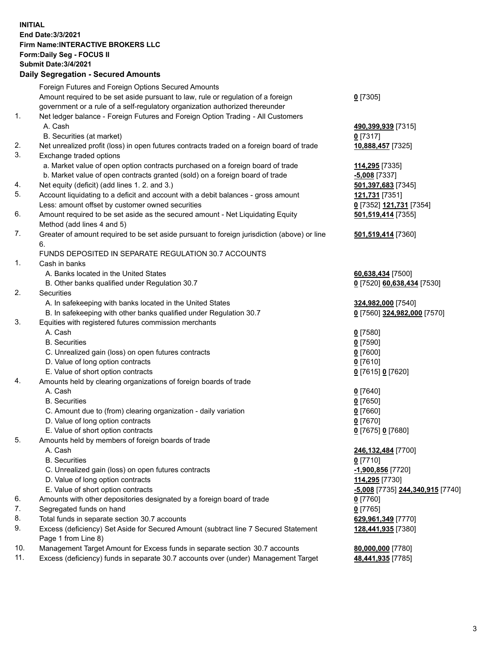## **INITIAL End Date:3/3/2021 Firm Name:INTERACTIVE BROKERS LLC Form:Daily Seg - FOCUS II Submit Date:3/4/2021 Daily Segregation - Secured Amounts**

|     | Foreign Futures and Foreign Options Secured Amounts                                         |                                  |
|-----|---------------------------------------------------------------------------------------------|----------------------------------|
|     | Amount required to be set aside pursuant to law, rule or regulation of a foreign            | $0$ [7305]                       |
|     | government or a rule of a self-regulatory organization authorized thereunder                |                                  |
| 1.  | Net ledger balance - Foreign Futures and Foreign Option Trading - All Customers             |                                  |
|     | A. Cash                                                                                     | 490,399,939 [7315]               |
|     | B. Securities (at market)                                                                   | $0$ [7317]                       |
| 2.  | Net unrealized profit (loss) in open futures contracts traded on a foreign board of trade   | 10,888,457 [7325]                |
| 3.  | Exchange traded options                                                                     |                                  |
|     | a. Market value of open option contracts purchased on a foreign board of trade              | 114,295 [7335]                   |
|     | b. Market value of open contracts granted (sold) on a foreign board of trade                | $-5,008$ [7337]                  |
| 4.  | Net equity (deficit) (add lines 1. 2. and 3.)                                               | 501,397,683 [7345]               |
| 5.  | Account liquidating to a deficit and account with a debit balances - gross amount           | 121,731 [7351]                   |
|     | Less: amount offset by customer owned securities                                            | 0 [7352] 121,731 [7354]          |
| 6.  | Amount required to be set aside as the secured amount - Net Liquidating Equity              | 501,519,414 [7355]               |
|     | Method (add lines 4 and 5)                                                                  |                                  |
| 7.  | Greater of amount required to be set aside pursuant to foreign jurisdiction (above) or line | 501,519,414 [7360]               |
|     | 6.                                                                                          |                                  |
|     | FUNDS DEPOSITED IN SEPARATE REGULATION 30.7 ACCOUNTS                                        |                                  |
| 1.  | Cash in banks                                                                               |                                  |
|     | A. Banks located in the United States                                                       | 60,638,434 [7500]                |
|     | B. Other banks qualified under Regulation 30.7                                              | 0 [7520] 60,638,434 [7530]       |
| 2.  | Securities                                                                                  |                                  |
|     | A. In safekeeping with banks located in the United States                                   | 324,982,000 [7540]               |
|     | B. In safekeeping with other banks qualified under Regulation 30.7                          | 0 [7560] 324,982,000 [7570]      |
| 3.  | Equities with registered futures commission merchants                                       |                                  |
|     | A. Cash                                                                                     | $0$ [7580]                       |
|     | <b>B.</b> Securities                                                                        | $0$ [7590]                       |
|     | C. Unrealized gain (loss) on open futures contracts                                         | $0$ [7600]                       |
|     | D. Value of long option contracts<br>E. Value of short option contracts                     | $0$ [7610]                       |
| 4.  | Amounts held by clearing organizations of foreign boards of trade                           | 0 [7615] 0 [7620]                |
|     | A. Cash                                                                                     | $0$ [7640]                       |
|     | <b>B.</b> Securities                                                                        | $0$ [7650]                       |
|     | C. Amount due to (from) clearing organization - daily variation                             | $0$ [7660]                       |
|     | D. Value of long option contracts                                                           | $0$ [7670]                       |
|     | E. Value of short option contracts                                                          | 0 [7675] 0 [7680]                |
| 5.  | Amounts held by members of foreign boards of trade                                          |                                  |
|     | A. Cash                                                                                     | 246,132,484 [7700]               |
|     | <b>B.</b> Securities                                                                        | $0$ [7710]                       |
|     | C. Unrealized gain (loss) on open futures contracts                                         | -1,900,856 [7720]                |
|     | D. Value of long option contracts                                                           | 114,295 [7730]                   |
|     | E. Value of short option contracts                                                          | -5,008 [7735] 244,340,915 [7740] |
| 6.  | Amounts with other depositories designated by a foreign board of trade                      | $0$ [7760]                       |
| 7.  | Segregated funds on hand                                                                    | $0$ [7765]                       |
| 8.  | Total funds in separate section 30.7 accounts                                               | 629,961,349 [7770]               |
| 9.  | Excess (deficiency) Set Aside for Secured Amount (subtract line 7 Secured Statement         | 128,441,935 [7380]               |
|     | Page 1 from Line 8)                                                                         |                                  |
| 10. | Management Target Amount for Excess funds in separate section 30.7 accounts                 | 80,000,000 [7780]                |
| 11. | Excess (deficiency) funds in separate 30.7 accounts over (under) Management Target          | 48,441,935 [7785]                |
|     |                                                                                             |                                  |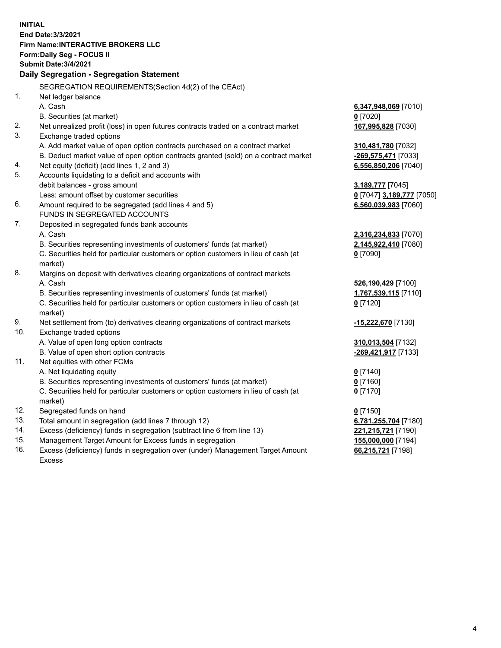**INITIAL End Date:3/3/2021 Firm Name:INTERACTIVE BROKERS LLC Form:Daily Seg - FOCUS II Submit Date:3/4/2021 Daily Segregation - Segregation Statement** SEGREGATION REQUIREMENTS(Section 4d(2) of the CEAct) 1. Net ledger balance A. Cash **6,347,948,069** [7010] B. Securities (at market) **0** [7020] 2. Net unrealized profit (loss) in open futures contracts traded on a contract market **167,995,828** [7030] 3. Exchange traded options A. Add market value of open option contracts purchased on a contract market **310,481,780** [7032] B. Deduct market value of open option contracts granted (sold) on a contract market **-269,575,471** [7033] 4. Net equity (deficit) (add lines 1, 2 and 3) **6,556,850,206** [7040] 5. Accounts liquidating to a deficit and accounts with debit balances - gross amount **3,189,777** [7045] Less: amount offset by customer securities **0** [7047] **3,189,777** [7050] 6. Amount required to be segregated (add lines 4 and 5) **6,560,039,983** [7060] FUNDS IN SEGREGATED ACCOUNTS 7. Deposited in segregated funds bank accounts A. Cash **2,316,234,833** [7070] B. Securities representing investments of customers' funds (at market) **2,145,922,410** [7080] C. Securities held for particular customers or option customers in lieu of cash (at market) **0** [7090] 8. Margins on deposit with derivatives clearing organizations of contract markets A. Cash **526,190,429** [7100] B. Securities representing investments of customers' funds (at market) **1,767,539,115** [7110] C. Securities held for particular customers or option customers in lieu of cash (at market) **0** [7120] 9. Net settlement from (to) derivatives clearing organizations of contract markets **-15,222,670** [7130] 10. Exchange traded options A. Value of open long option contracts **310,013,504** [7132] B. Value of open short option contracts **-269,421,917** [7133] 11. Net equities with other FCMs A. Net liquidating equity **0** [7140] B. Securities representing investments of customers' funds (at market) **0** [7160] C. Securities held for particular customers or option customers in lieu of cash (at market) **0** [7170] 12. Segregated funds on hand **0** [7150] 13. Total amount in segregation (add lines 7 through 12) **6,781,255,704** [7180] 14. Excess (deficiency) funds in segregation (subtract line 6 from line 13) **221,215,721** [7190] 15. Management Target Amount for Excess funds in segregation **155,000,000** [7194] 16. Excess (deficiency) funds in segregation over (under) Management Target Amount **66,215,721** [7198]

Excess